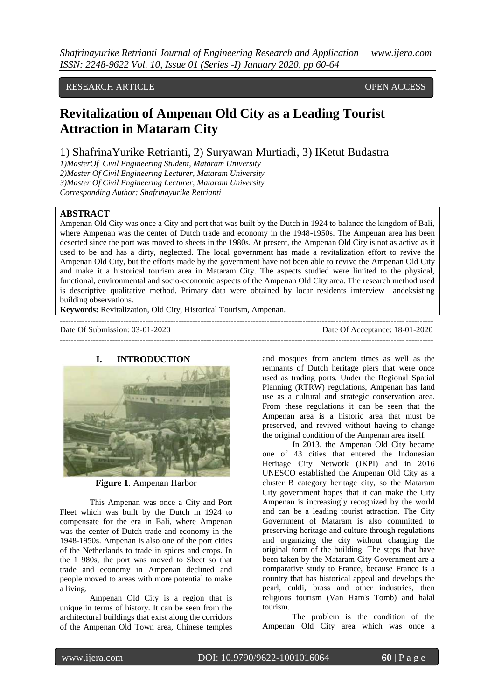# RESEARCH ARTICLE OPEN ACCESS

# **Revitalization of Ampenan Old City as a Leading Tourist Attraction in Mataram City**

# 1) ShafrinaYurike Retrianti, 2) Suryawan Murtiadi, 3) IKetut Budastra

*1)MasterOf Civil Engineering Student, Mataram University 2)Master Of Civil Engineering Lecturer, Mataram University 3)Master Of Civil Engineering Lecturer, Mataram University*

*Corresponding Author: Shafrinayurike Retrianti*

## **ABSTRACT**

Ampenan Old City was once a City and port that was built by the Dutch in 1924 to balance the kingdom of Bali, where Ampenan was the center of Dutch trade and economy in the 1948-1950s. The Ampenan area has been deserted since the port was moved to sheets in the 1980s. At present, the Ampenan Old City is not as active as it used to be and has a dirty, neglected. The local government has made a revitalization effort to revive the Ampenan Old City, but the efforts made by the government have not been able to revive the Ampenan Old City and make it a historical tourism area in Mataram City. The aspects studied were limited to the physical, functional, environmental and socio-economic aspects of the Ampenan Old City area. The research method used is descriptive qualitative method. Primary data were obtained by locar residents imterview andeksisting building observations.

**Keywords:** Revitalization, Old City, Historical Tourism, Ampenan.

Date Of Submission: 03-01-2020 Date Of Acceptance: 18-01-2020 ---------------------------------------------------------------------------------------------------------------------------------------

---------------------------------------------------------------------------------------------------------------------------------------

#### **I. INTRODUCTION**



**Figure 1**. Ampenan Harbor

This Ampenan was once a City and Port Fleet which was built by the Dutch in 1924 to compensate for the era in Bali, where Ampenan was the center of Dutch trade and economy in the 1948-1950s. Ampenan is also one of the port cities of the Netherlands to trade in spices and crops. In the 1 980s, the port was moved to Sheet so that trade and economy in Ampenan declined and people moved to areas with more potential to make a living.

Ampenan Old City is a region that is unique in terms of history. It can be seen from the architectural buildings that exist along the corridors of the Ampenan Old Town area, Chinese temples and mosques from ancient times as well as the remnants of Dutch heritage piers that were once used as trading ports. Under the Regional Spatial Planning (RTRW) regulations, Ampenan has land use as a cultural and strategic conservation area. From these regulations it can be seen that the Ampenan area is a historic area that must be preserved, and revived without having to change the original condition of the Ampenan area itself.

In 2013, the Ampenan Old City became one of 43 cities that entered the Indonesian Heritage City Network (JKPI) and in 2016 UNESCO established the Ampenan Old City as a cluster B category heritage city, so the Mataram City government hopes that it can make the City Ampenan is increasingly recognized by the world and can be a leading tourist attraction. The City Government of Mataram is also committed to preserving heritage and culture through regulations and organizing the city without changing the original form of the building. The steps that have been taken by the Mataram City Government are a comparative study to France, because France is a country that has historical appeal and develops the pearl, cukli, brass and other industries, then religious tourism (Van Ham's Tomb) and halal tourism.

The problem is the condition of the Ampenan Old City area which was once a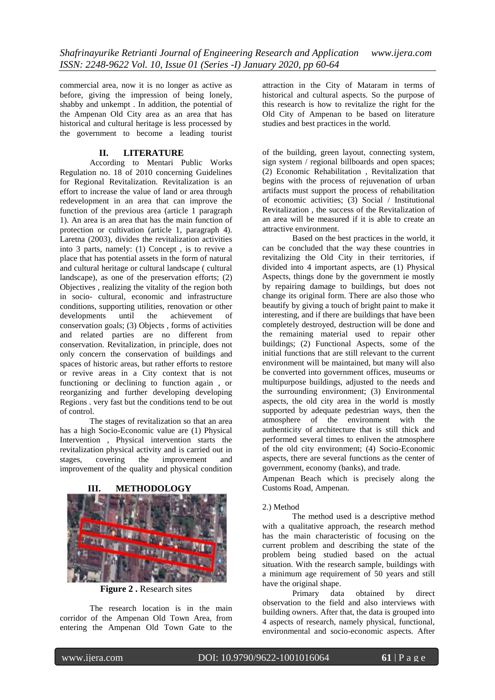commercial area, now it is no longer as active as before, giving the impression of being lonely, shabby and unkempt . In addition, the potential of the Ampenan Old City area as an area that has historical and cultural heritage is less processed by the government to become a leading tourist

## **II. LITERATURE**

According to Mentari Public Works Regulation no. 18 of 2010 concerning Guidelines for Regional Revitalization. Revitalization is an effort to increase the value of land or area through redevelopment in an area that can improve the function of the previous area (article 1 paragraph 1). An area is an area that has the main function of protection or cultivation (article 1, paragraph 4). Laretna (2003), divides the revitalization activities into 3 parts, namely: (1) Concept , is to revive a place that has potential assets in the form of natural and cultural heritage or cultural landscape ( cultural landscape), as one of the preservation efforts; (2) Objectives , realizing the vitality of the region both in socio- cultural, economic and infrastructure conditions, supporting utilities, renovation or other developments until the achievement of conservation goals; (3) Objects , forms of activities and related parties are no different from conservation. Revitalization, in principle, does not only concern the conservation of buildings and spaces of historic areas, but rather efforts to restore or revive areas in a City context that is not functioning or declining to function again , or reorganizing and further developing developing Regions . very fast but the conditions tend to be out of control.

The stages of revitalization so that an area has a high Socio-Economic value are (1) Physical Intervention , Physical intervention starts the revitalization physical activity and is carried out in stages, covering the improvement and improvement of the quality and physical condition

#### **III. METHODOLOGY**



**Figure 2 .** Research sites

The research location is in the main corridor of the Ampenan Old Town Area, from entering the Ampenan Old Town Gate to the attraction in the City of Mataram in terms of historical and cultural aspects. So the purpose of this research is how to revitalize the right for the Old City of Ampenan to be based on literature studies and best practices in the world.

of the building, green layout, connecting system, sign system / regional billboards and open spaces; (2) Economic Rehabilitation , Revitalization that begins with the process of rejuvenation of urban artifacts must support the process of rehabilitation of economic activities; (3) Social / Institutional Revitalization , the success of the Revitalization of an area will be measured if it is able to create an attractive environment.

Based on the best practices in the world, it can be concluded that the way these countries in revitalizing the Old City in their territories, if divided into 4 important aspects, are (1) Physical Aspects, things done by the government ie mostly by repairing damage to buildings, but does not change its original form. There are also those who beautify by giving a touch of bright paint to make it interesting, and if there are buildings that have been completely destroyed, destruction will be done and the remaining material used to repair other buildings; (2) Functional Aspects, some of the initial functions that are still relevant to the current environment will be maintained, but many will also be converted into government offices, museums or multipurpose buildings, adjusted to the needs and the surrounding environment; (3) Environmental aspects, the old city area in the world is mostly supported by adequate pedestrian ways, then the atmosphere of the environment with the authenticity of architecture that is still thick and performed several times to enliven the atmosphere of the old city environment; (4) Socio-Economic aspects, there are several functions as the center of government, economy (banks), and trade.

Ampenan Beach which is precisely along the Customs Road, Ampenan.

## 2.) Method

The method used is a descriptive method with a qualitative approach, the research method has the main characteristic of focusing on the current problem and describing the state of the problem being studied based on the actual situation. With the research sample, buildings with a minimum age requirement of 50 years and still have the original shape.

Primary data obtained by direct observation to the field and also interviews with building owners. After that, the data is grouped into 4 aspects of research, namely physical, functional, environmental and socio-economic aspects. After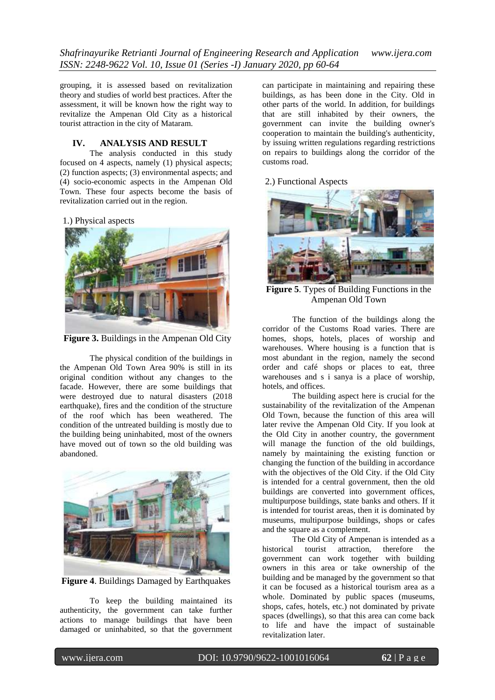*Shafrinayurike Retrianti Journal of Engineering Research and Application www.ijera.com ISSN: 2248-9622 Vol. 10, Issue 01 (Series -I) January 2020, pp 60-64*

grouping, it is assessed based on revitalization theory and studies of world best practices. After the assessment, it will be known how the right way to revitalize the Ampenan Old City as a historical tourist attraction in the city of Mataram.

#### **IV. ANALYSIS AND RESULT**

The analysis conducted in this study focused on 4 aspects, namely (1) physical aspects; (2) function aspects; (3) environmental aspects; and (4) socio-economic aspects in the Ampenan Old Town. These four aspects become the basis of revitalization carried out in the region.

1.) Physical aspects



**Figure 3.** Buildings in the Ampenan Old City

The physical condition of the buildings in the Ampenan Old Town Area 90% is still in its original condition without any changes to the facade. However, there are some buildings that were destroyed due to natural disasters (2018 earthquake), fires and the condition of the structure of the roof which has been weathered. The condition of the untreated building is mostly due to the building being uninhabited, most of the owners have moved out of town so the old building was abandoned.



**Figure 4. Buildings Damaged by Earthquakes** 

To keep the building maintained its authenticity, the government can take further actions to manage buildings that have been damaged or uninhabited, so that the government

can participate in maintaining and repairing these buildings, as has been done in the City. Old in other parts of the world. In addition, for buildings that are still inhabited by their owners, the government can invite the building owner's cooperation to maintain the building's authenticity, by issuing written regulations regarding restrictions on repairs to buildings along the corridor of the customs road.

#### 2.) Functional Aspects



**Figure 5**. Types of Building Functions in the Ampenan Old Town

The function of the buildings along the corridor of the Customs Road varies. There are homes, shops, hotels, places of worship and warehouses. Where housing is a function that is most abundant in the region, namely the second order and café shops or places to eat, three warehouses and s i sanya is a place of worship, hotels, and offices.

The building aspect here is crucial for the sustainability of the revitalization of the Ampenan Old Town, because the function of this area will later revive the Ampenan Old City. If you look at the Old City in another country, the government will manage the function of the old buildings, namely by maintaining the existing function or changing the function of the building in accordance with the objectives of the Old City. if the Old City is intended for a central government, then the old buildings are converted into government offices, multipurpose buildings, state banks and others. If it is intended for tourist areas, then it is dominated by museums, multipurpose buildings, shops or cafes and the square as a complement.

The Old City of Ampenan is intended as a historical tourist attraction, therefore the government can work together with building owners in this area or take ownership of the building and be managed by the government so that it can be focused as a historical tourism area as a whole. Dominated by public spaces (museums, shops, cafes, hotels, etc.) not dominated by private spaces (dwellings), so that this area can come back to life and have the impact of sustainable revitalization later.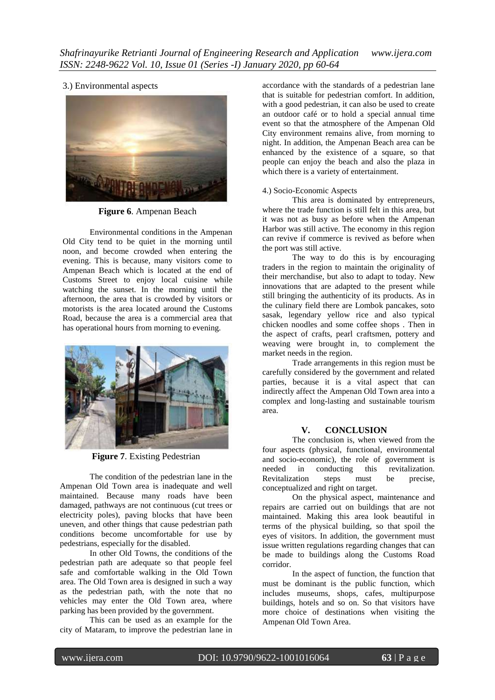3.) Environmental aspects



**Figure 6**. Ampenan Beach

Environmental conditions in the Ampenan Old City tend to be quiet in the morning until noon, and become crowded when entering the evening. This is because, many visitors come to Ampenan Beach which is located at the end of Customs Street to enjoy local cuisine while watching the sunset. In the morning until the afternoon, the area that is crowded by visitors or motorists is the area located around the Customs Road, because the area is a commercial area that has operational hours from morning to evening.



**Figure 7**. Existing Pedestrian

The condition of the pedestrian lane in the Ampenan Old Town area is inadequate and well maintained. Because many roads have been damaged, pathways are not continuous (cut trees or electricity poles), paving blocks that have been uneven, and other things that cause pedestrian path conditions become uncomfortable for use by pedestrians, especially for the disabled.

In other Old Towns, the conditions of the pedestrian path are adequate so that people feel safe and comfortable walking in the Old Town area. The Old Town area is designed in such a way as the pedestrian path, with the note that no vehicles may enter the Old Town area, where parking has been provided by the government.

This can be used as an example for the city of Mataram, to improve the pedestrian lane in

accordance with the standards of a pedestrian lane that is suitable for pedestrian comfort. In addition, with a good pedestrian, it can also be used to create an outdoor café or to hold a special annual time event so that the atmosphere of the Ampenan Old City environment remains alive, from morning to night. In addition, the Ampenan Beach area can be enhanced by the existence of a square, so that people can enjoy the beach and also the plaza in which there is a variety of entertainment.

## 4.) Socio-Economic Aspects

This area is dominated by entrepreneurs, where the trade function is still felt in this area, but it was not as busy as before when the Ampenan Harbor was still active. The economy in this region can revive if commerce is revived as before when the port was still active.

The way to do this is by encouraging traders in the region to maintain the originality of their merchandise, but also to adapt to today. New innovations that are adapted to the present while still bringing the authenticity of its products. As in the culinary field there are Lombok pancakes, soto sasak, legendary yellow rice and also typical chicken noodles and some coffee shops . Then in the aspect of crafts, pearl craftsmen, pottery and weaving were brought in, to complement the market needs in the region.

Trade arrangements in this region must be carefully considered by the government and related parties, because it is a vital aspect that can indirectly affect the Ampenan Old Town area into a complex and long-lasting and sustainable tourism area.

## **V. CONCLUSION**

The conclusion is, when viewed from the four aspects (physical, functional, environmental and socio-economic), the role of government is needed in conducting this revitalization. Revitalization steps must be precise, conceptualized and right on target.

On the physical aspect, maintenance and repairs are carried out on buildings that are not maintained. Making this area look beautiful in terms of the physical building, so that spoil the eyes of visitors. In addition, the government must issue written regulations regarding changes that can be made to buildings along the Customs Road corridor.

In the aspect of function, the function that must be dominant is the public function, which includes museums, shops, cafes, multipurpose buildings, hotels and so on. So that visitors have more choice of destinations when visiting the Ampenan Old Town Area.